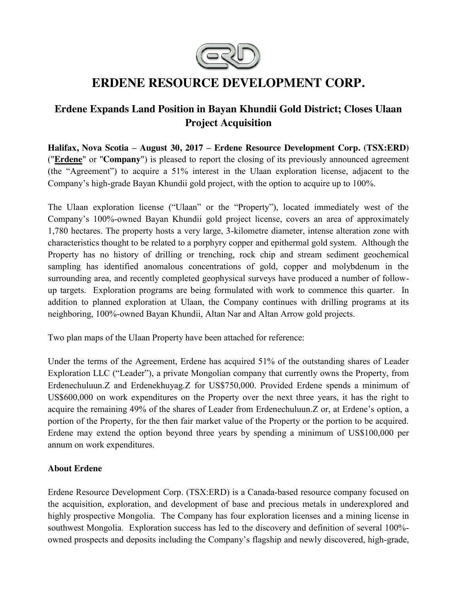

# **ERDENE RESOURCE DEVELOPMENT CORP.**

## **Erdene Expands Land Position in Bayan Khundii Gold District; Closes Ulaan Project Acquisition**

**Halifax, Nova Scotia – August 30, 2017 – Erdene Resource Development Corp. (TSX:ERD)**  ("**[Erdene](http://www.erdene.com/)**" or "**Company**") is pleased to report the closing of its previously announced agreement (the "Agreement") to acquire a 51% interest in the Ulaan exploration license, adjacent to the Company's high-grade Bayan Khundii gold project, with the option to acquire up to 100%.

The Ulaan exploration license ("Ulaan" or the "Property"), located immediately west of the Company's 100%-owned Bayan Khundii gold project license, covers an area of approximately 1,780 hectares. The property hosts a very large, 3-kilometre diameter, intense alteration zone with characteristics thought to be related to a porphyry copper and epithermal gold system. Although the Property has no history of drilling or trenching, rock chip and stream sediment geochemical sampling has identified anomalous concentrations of gold, copper and molybdenum in the surrounding area, and recently completed geophysical surveys have produced a number of followup targets. Exploration programs are being formulated with work to commence this quarter. In addition to planned exploration at Ulaan, the Company continues with drilling programs at its neighboring, 100%-owned Bayan Khundii, Altan Nar and Altan Arrow gold projects.

Two plan maps of the Ulaan Property have been attached for reference:

Under the terms of the Agreement, Erdene has acquired 51% of the outstanding shares of Leader Exploration LLC ("Leader"), a private Mongolian company that currently owns the Property, from Erdenechuluun.Z and Erdenekhuyag.Z for US\$750,000. Provided Erdene spends a minimum of US\$600,000 on work expenditures on the Property over the next three years, it has the right to acquire the remaining 49% of the shares of Leader from Erdenechuluun.Z or, at Erdene's option, a portion of the Property, for the then fair market value of the Property or the portion to be acquired. Erdene may extend the option beyond three years by spending a minimum of US\$100,000 per annum on work expenditures.

## **About Erdene**

Erdene Resource Development Corp. (TSX:ERD) is a Canada-based resource company focused on the acquisition, exploration, and development of base and precious metals in underexplored and highly prospective Mongolia. The Company has four exploration licenses and a mining license in southwest Mongolia. Exploration success has led to the discovery and definition of several 100% owned prospects and deposits including the Company's flagship and newly discovered, high-grade,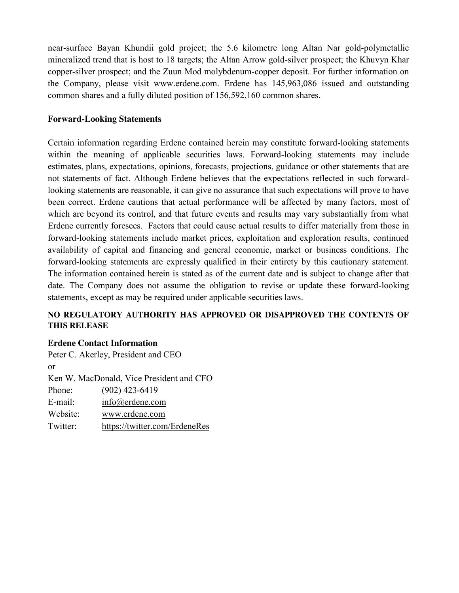near-surface Bayan Khundii gold project; the 5.6 kilometre long Altan Nar gold-polymetallic mineralized trend that is host to 18 targets; the Altan Arrow gold-silver prospect; the Khuvyn Khar copper-silver prospect; and the Zuun Mod molybdenum-copper deposit. For further information on the Company, please visit www.erdene.com. Erdene has 145,963,086 issued and outstanding common shares and a fully diluted position of 156,592,160 common shares.

#### **Forward-Looking Statements**

Certain information regarding Erdene contained herein may constitute forward-looking statements within the meaning of applicable securities laws. Forward-looking statements may include estimates, plans, expectations, opinions, forecasts, projections, guidance or other statements that are not statements of fact. Although Erdene believes that the expectations reflected in such forwardlooking statements are reasonable, it can give no assurance that such expectations will prove to have been correct. Erdene cautions that actual performance will be affected by many factors, most of which are beyond its control, and that future events and results may vary substantially from what Erdene currently foresees. Factors that could cause actual results to differ materially from those in forward-looking statements include market prices, exploitation and exploration results, continued availability of capital and financing and general economic, market or business conditions. The forward-looking statements are expressly qualified in their entirety by this cautionary statement. The information contained herein is stated as of the current date and is subject to change after that date. The Company does not assume the obligation to revise or update these forward-looking statements, except as may be required under applicable securities laws.

## **NO REGULATORY AUTHORITY HAS APPROVED OR DISAPPROVED THE CONTENTS OF THIS RELEASE**

#### **Erdene Contact Information**

Peter C. Akerley, President and CEO or Ken W. MacDonald, Vice President and CFO Phone: (902) 423-6419 E-mail: [info@erdene.com](mailto:info@erdene.com) Website: [www.erdene.com](http://www.erdene.com/) Twitter: <https://twitter.com/ErdeneRes>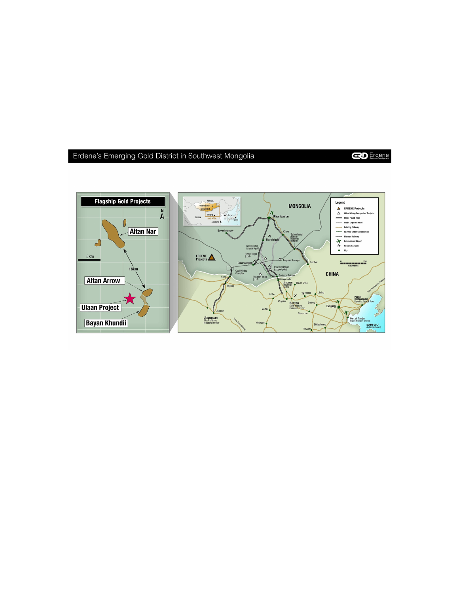## Erdene's Emerging Gold District in Southwest Mongolia

**CO** Erdene